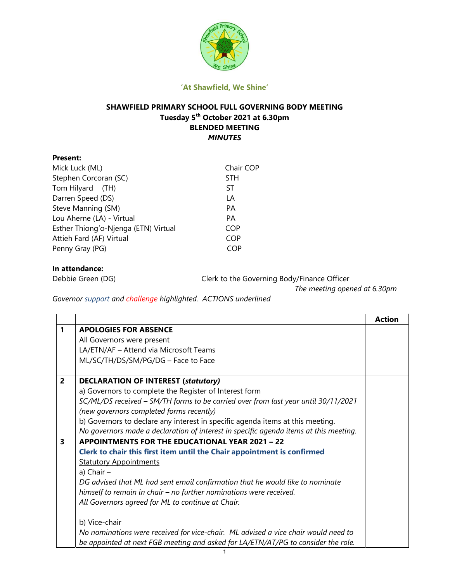

#### 'At Shawfield, We Shine'

# SHAWFIELD PRIMARY SCHOOL FULL GOVERNING BODY MEETING Tuesday 5th October 2021 at 6.30pm BLENDED MEETING MINUTES

| <b>Present:</b>                      |            |
|--------------------------------------|------------|
| Mick Luck (ML)                       | Chair COP  |
| Stephen Corcoran (SC)                | <b>STH</b> |
| Tom Hilyard (TH)                     | ST         |
| Darren Speed (DS)                    | LА         |
| Steve Manning (SM)                   | PA         |
| Lou Aherne (LA) - Virtual            | PА         |
| Esther Thiong'o-Njenga (ETN) Virtual | COP        |
| Attieh Fard (AF) Virtual             | COP        |
| Penny Gray (PG)                      | COP        |
|                                      |            |

# In attendance:

Debbie Green (DG) Clerk to the Governing Body/Finance Officer

The meeting opened at 6.30pm

Governor support and challenge highlighted. ACTIONS underlined

|                |                                                                                       | <b>Action</b> |
|----------------|---------------------------------------------------------------------------------------|---------------|
| 1              | <b>APOLOGIES FOR ABSENCE</b>                                                          |               |
|                | All Governors were present                                                            |               |
|                | LA/ETN/AF - Attend via Microsoft Teams                                                |               |
|                | ML/SC/TH/DS/SM/PG/DG - Face to Face                                                   |               |
| $\overline{2}$ | <b>DECLARATION OF INTEREST (statutory)</b>                                            |               |
|                | a) Governors to complete the Register of Interest form                                |               |
|                | SC/ML/DS received - SM/TH forms to be carried over from last year until 30/11/2021    |               |
|                | (new governors completed forms recently)                                              |               |
|                | b) Governors to declare any interest in specific agenda items at this meeting.        |               |
|                | No governors made a declaration of interest in specific agenda items at this meeting. |               |
| 3              | <b>APPOINTMENTS FOR THE EDUCATIONAL YEAR 2021 - 22</b>                                |               |
|                | Clerk to chair this first item until the Chair appointment is confirmed               |               |
|                | <b>Statutory Appointments</b>                                                         |               |
|                | a) Chair $-$                                                                          |               |
|                | DG advised that ML had sent email confirmation that he would like to nominate         |               |
|                | himself to remain in chair – no further nominations were received.                    |               |
|                | All Governors agreed for ML to continue at Chair.                                     |               |
|                |                                                                                       |               |
|                | b) Vice-chair                                                                         |               |
|                | No nominations were received for vice-chair. ML advised a vice chair would need to    |               |
|                | be appointed at next FGB meeting and asked for LA/ETN/AT/PG to consider the role.     |               |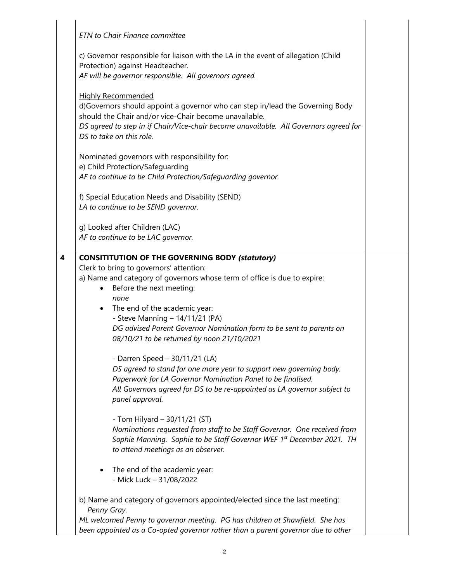|                         | <b>ETN</b> to Chair Finance committee                                                                                                                                                                                                                                                                                                                                                                                                                                                                                                                                                                                                                                                                                                                                                                                                                                                                                                                      |  |
|-------------------------|------------------------------------------------------------------------------------------------------------------------------------------------------------------------------------------------------------------------------------------------------------------------------------------------------------------------------------------------------------------------------------------------------------------------------------------------------------------------------------------------------------------------------------------------------------------------------------------------------------------------------------------------------------------------------------------------------------------------------------------------------------------------------------------------------------------------------------------------------------------------------------------------------------------------------------------------------------|--|
|                         | c) Governor responsible for liaison with the LA in the event of allegation (Child<br>Protection) against Headteacher.<br>AF will be governor responsible. All governors agreed.                                                                                                                                                                                                                                                                                                                                                                                                                                                                                                                                                                                                                                                                                                                                                                            |  |
|                         | <b>Highly Recommended</b><br>d)Governors should appoint a governor who can step in/lead the Governing Body<br>should the Chair and/or vice-Chair become unavailable.<br>DS agreed to step in if Chair/Vice-chair become unavailable. All Governors agreed for<br>DS to take on this role.                                                                                                                                                                                                                                                                                                                                                                                                                                                                                                                                                                                                                                                                  |  |
|                         | Nominated governors with responsibility for:<br>e) Child Protection/Safeguarding<br>AF to continue to be Child Protection/Safeguarding governor.                                                                                                                                                                                                                                                                                                                                                                                                                                                                                                                                                                                                                                                                                                                                                                                                           |  |
|                         | f) Special Education Needs and Disability (SEND)<br>LA to continue to be SEND governor.                                                                                                                                                                                                                                                                                                                                                                                                                                                                                                                                                                                                                                                                                                                                                                                                                                                                    |  |
|                         | g) Looked after Children (LAC)<br>AF to continue to be LAC governor.                                                                                                                                                                                                                                                                                                                                                                                                                                                                                                                                                                                                                                                                                                                                                                                                                                                                                       |  |
| $\overline{\mathbf{4}}$ | <b>CONSITITUTION OF THE GOVERNING BODY (statutory)</b><br>Clerk to bring to governors' attention:<br>a) Name and category of governors whose term of office is due to expire:<br>Before the next meeting:<br>٠<br>none<br>The end of the academic year:<br>٠<br>- Steve Manning - 14/11/21 (PA)<br>DG advised Parent Governor Nomination form to be sent to parents on<br>08/10/21 to be returned by noon 21/10/2021<br>- Darren Speed - 30/11/21 (LA)<br>DS agreed to stand for one more year to support new governing body.<br>Paperwork for LA Governor Nomination Panel to be finalised.<br>All Governors agreed for DS to be re-appointed as LA governor subject to<br>panel approval.<br>- Tom Hilyard $-$ 30/11/21 (ST)<br>Nominations requested from staff to be Staff Governor. One received from<br>Sophie Manning. Sophie to be Staff Governor WEF 1st December 2021. TH<br>to attend meetings as an observer.<br>The end of the academic year: |  |
|                         | - Mick Luck - 31/08/2022                                                                                                                                                                                                                                                                                                                                                                                                                                                                                                                                                                                                                                                                                                                                                                                                                                                                                                                                   |  |
|                         | b) Name and category of governors appointed/elected since the last meeting:<br>Penny Gray.<br>ML welcomed Penny to governor meeting. PG has children at Shawfield. She has<br>been appointed as a Co-opted governor rather than a parent governor due to other                                                                                                                                                                                                                                                                                                                                                                                                                                                                                                                                                                                                                                                                                             |  |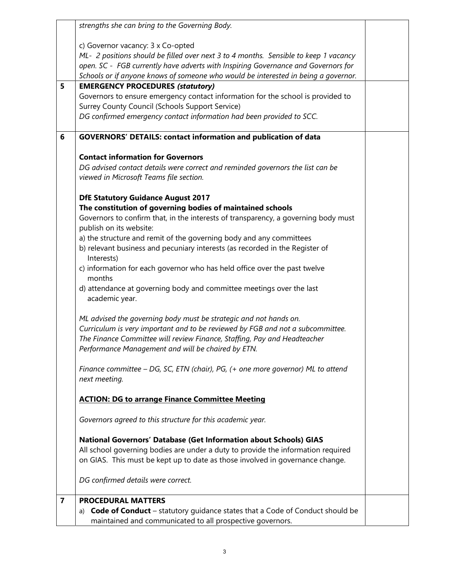|                         | strengths she can bring to the Governing Body.                                                                            |  |
|-------------------------|---------------------------------------------------------------------------------------------------------------------------|--|
|                         |                                                                                                                           |  |
|                         | c) Governor vacancy: 3 x Co-opted<br>ML- 2 positions should be filled over next 3 to 4 months. Sensible to keep 1 vacancy |  |
|                         | open. SC - FGB currently have adverts with Inspiring Governance and Governors for                                         |  |
|                         | Schools or if anyone knows of someone who would be interested in being a governor.                                        |  |
| 5                       | <b>EMERGENCY PROCEDURES (statutory)</b>                                                                                   |  |
|                         | Governors to ensure emergency contact information for the school is provided to                                           |  |
|                         | Surrey County Council (Schools Support Service)                                                                           |  |
|                         | DG confirmed emergency contact information had been provided to SCC.                                                      |  |
| 6                       | GOVERNORS' DETAILS: contact information and publication of data                                                           |  |
|                         | <b>Contact information for Governors</b>                                                                                  |  |
|                         | DG advised contact details were correct and reminded governors the list can be                                            |  |
|                         | viewed in Microsoft Teams file section.                                                                                   |  |
|                         | <b>DfE Statutory Guidance August 2017</b>                                                                                 |  |
|                         | The constitution of governing bodies of maintained schools                                                                |  |
|                         | Governors to confirm that, in the interests of transparency, a governing body must<br>publish on its website:             |  |
|                         | a) the structure and remit of the governing body and any committees                                                       |  |
|                         | b) relevant business and pecuniary interests (as recorded in the Register of<br>Interests)                                |  |
|                         | c) information for each governor who has held office over the past twelve                                                 |  |
|                         | months                                                                                                                    |  |
|                         | d) attendance at governing body and committee meetings over the last<br>academic year.                                    |  |
|                         | ML advised the governing body must be strategic and not hands on.                                                         |  |
|                         | Curriculum is very important and to be reviewed by FGB and not a subcommittee.                                            |  |
|                         | The Finance Committee will review Finance, Staffing, Pay and Headteacher                                                  |  |
|                         | Performance Management and will be chaired by ETN.                                                                        |  |
|                         | Finance committee - DG, SC, ETN (chair), PG, (+ one more governor) ML to attend                                           |  |
|                         | next meeting.                                                                                                             |  |
|                         | <b>ACTION: DG to arrange Finance Committee Meeting</b>                                                                    |  |
|                         | Governors agreed to this structure for this academic year.                                                                |  |
|                         | National Governors' Database (Get Information about Schools) GIAS                                                         |  |
|                         | All school governing bodies are under a duty to provide the information required                                          |  |
|                         | on GIAS. This must be kept up to date as those involved in governance change.                                             |  |
|                         | DG confirmed details were correct.                                                                                        |  |
| $\overline{\mathbf{z}}$ | <b>PROCEDURAL MATTERS</b>                                                                                                 |  |
|                         | <b>Code of Conduct</b> – statutory guidance states that a Code of Conduct should be<br>a)                                 |  |
|                         | maintained and communicated to all prospective governors.                                                                 |  |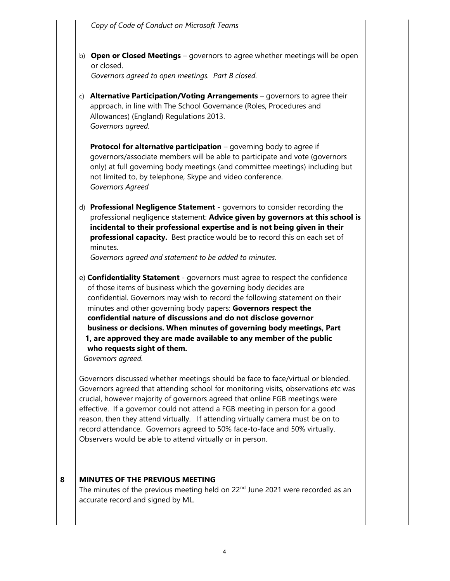Copy of Code of Conduct on Microsoft Teams

b) Open or Closed Meetings – governors to agree whether meetings will be open or closed.

Governors agreed to open meetings. Part B closed.

c) Alternative Participation/Voting Arrangements  $-$  governors to agree their approach, in line with The School Governance (Roles, Procedures and Allowances) (England) Regulations 2013. Governors agreed.

**Protocol for alternative participation** – governing body to agree if governors/associate members will be able to participate and vote (governors only) at full governing body meetings (and committee meetings) including but not limited to, by telephone, Skype and video conference. Governors Agreed

d) Professional Negligence Statement - governors to consider recording the professional negligence statement: Advice given by governors at this school is incidental to their professional expertise and is not being given in their professional capacity. Best practice would be to record this on each set of minutes.

Governors agreed and statement to be added to minutes.

e) **Confidentiality Statement** - governors must agree to respect the confidence of those items of business which the governing body decides are confidential. Governors may wish to record the following statement on their minutes and other governing body papers: Governors respect the confidential nature of discussions and do not disclose governor business or decisions. When minutes of governing body meetings, Part 1, are approved they are made available to any member of the public who requests sight of them.

Governors agreed.

Governors discussed whether meetings should be face to face/virtual or blended. Governors agreed that attending school for monitoring visits, observations etc was crucial, however majority of governors agreed that online FGB meetings were effective. If a governor could not attend a FGB meeting in person for a good reason, then they attend virtually. If attending virtually camera must be on to record attendance. Governors agreed to 50% face-to-face and 50% virtually. Observers would be able to attend virtually or in person.

# 8 | MINUTES OF THE PREVIOUS MEETING

The minutes of the previous meeting held on  $22<sup>nd</sup>$  June 2021 were recorded as an accurate record and signed by ML.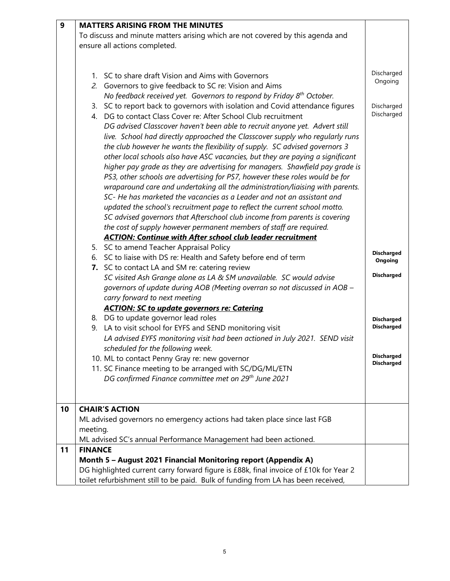| 9  | <b>MATTERS ARISING FROM THE MINUTES</b>                                               |                   |
|----|---------------------------------------------------------------------------------------|-------------------|
|    | To discuss and minute matters arising which are not covered by this agenda and        |                   |
|    | ensure all actions completed.                                                         |                   |
|    |                                                                                       |                   |
|    |                                                                                       |                   |
|    | 1. SC to share draft Vision and Aims with Governors                                   | Discharged        |
|    | 2. Governors to give feedback to SC re: Vision and Aims                               | Ongoing           |
|    | No feedback received yet. Governors to respond by Friday 8 <sup>th</sup> October.     |                   |
|    | 3. SC to report back to governors with isolation and Covid attendance figures         | Discharged        |
|    | 4. DG to contact Class Cover re: After School Club recruitment                        | Discharged        |
|    | DG advised Classcover haven't been able to recruit anyone yet. Advert still           |                   |
|    | live. School had directly approached the Classcover supply who regularly runs         |                   |
|    | the club however he wants the flexibility of supply. SC advised governors 3           |                   |
|    | other local schools also have ASC vacancies, but they are paying a significant        |                   |
|    | higher pay grade as they are advertising for managers. Shawfield pay grade is         |                   |
|    | PS3, other schools are advertising for PS7, however these roles would be for          |                   |
|    | wraparound care and undertaking all the administration/liaising with parents.         |                   |
|    | SC- He has marketed the vacancies as a Leader and not an assistant and                |                   |
|    | updated the school's recruitment page to reflect the current school motto.            |                   |
|    | SC advised governors that Afterschool club income from parents is covering            |                   |
|    | the cost of supply however permanent members of staff are required.                   |                   |
|    | <b>ACTION: Continue with After school club leader recruitment</b>                     |                   |
|    | 5. SC to amend Teacher Appraisal Policy                                               |                   |
|    | 6. SC to liaise with DS re: Health and Safety before end of term                      | <b>Discharged</b> |
|    | 7. SC to contact LA and SM re: catering review                                        | Ongoing           |
|    | SC visited Ash Grange alone as LA & SM unavailable. SC would advise                   | <b>Discharged</b> |
|    | governors of update during AOB (Meeting overran so not discussed in AOB -             |                   |
|    | carry forward to next meeting                                                         |                   |
|    | <b>ACTION: SC to update governors re: Catering</b>                                    |                   |
|    | 8. DG to update governor lead roles                                                   | <b>Discharged</b> |
|    | LA to visit school for EYFS and SEND monitoring visit<br>9.                           | <b>Discharged</b> |
|    | LA advised EYFS monitoring visit had been actioned in July 2021. SEND visit           |                   |
|    | scheduled for the following week.                                                     |                   |
|    | 10. ML to contact Penny Gray re: new governor                                         | <b>Discharged</b> |
|    | 11. SC Finance meeting to be arranged with SC/DG/ML/ETN                               | <b>Discharged</b> |
|    | DG confirmed Finance committee met on 29 <sup>th</sup> June 2021                      |                   |
|    |                                                                                       |                   |
|    |                                                                                       |                   |
| 10 | <b>CHAIR'S ACTION</b>                                                                 |                   |
|    | ML advised governors no emergency actions had taken place since last FGB              |                   |
|    | meeting.                                                                              |                   |
|    | ML advised SC's annual Performance Management had been actioned.                      |                   |
| 11 | <b>FINANCE</b>                                                                        |                   |
|    | Month 5 - August 2021 Financial Monitoring report (Appendix A)                        |                   |
|    | DG highlighted current carry forward figure is £88k, final invoice of £10k for Year 2 |                   |
|    | toilet refurbishment still to be paid. Bulk of funding from LA has been received,     |                   |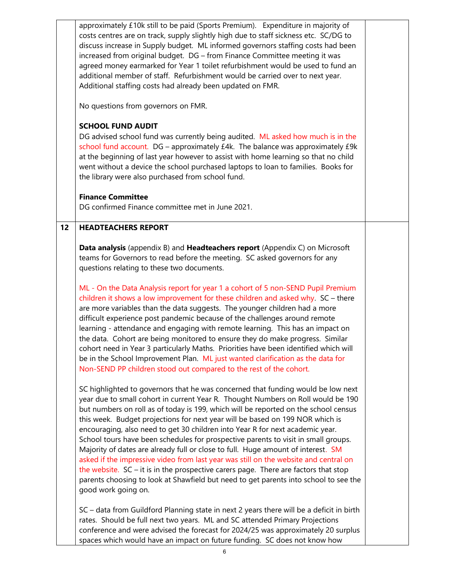approximately £10k still to be paid (Sports Premium). Expenditure in majority of costs centres are on track, supply slightly high due to staff sickness etc. SC/DG to discuss increase in Supply budget. ML informed governors staffing costs had been increased from original budget. DG – from Finance Committee meeting it was agreed money earmarked for Year 1 toilet refurbishment would be used to fund an additional member of staff. Refurbishment would be carried over to next year. Additional staffing costs had already been updated on FMR.

No questions from governors on FMR.

# SCHOOL FUND AUDIT

DG advised school fund was currently being audited. ML asked how much is in the school fund account. DG – approximately £4k. The balance was approximately £9k at the beginning of last year however to assist with home learning so that no child went without a device the school purchased laptops to loan to families. Books for the library were also purchased from school fund.

# Finance Committee

DG confirmed Finance committee met in June 2021.

# 12 | HEADTEACHERS REPORT

**Data analysis** (appendix B) and **Headteachers report** (Appendix C) on Microsoft teams for Governors to read before the meeting. SC asked governors for any questions relating to these two documents.

ML - On the Data Analysis report for year 1 a cohort of 5 non-SEND Pupil Premium children it shows a low improvement for these children and asked why. SC – there are more variables than the data suggests. The younger children had a more difficult experience post pandemic because of the challenges around remote learning - attendance and engaging with remote learning. This has an impact on the data. Cohort are being monitored to ensure they do make progress. Similar cohort need in Year 3 particularly Maths. Priorities have been identified which will be in the School Improvement Plan. ML just wanted clarification as the data for Non-SEND PP children stood out compared to the rest of the cohort.

SC highlighted to governors that he was concerned that funding would be low next year due to small cohort in current Year R. Thought Numbers on Roll would be 190 but numbers on roll as of today is 199, which will be reported on the school census this week. Budget projections for next year will be based on 199 NOR which is encouraging, also need to get 30 children into Year R for next academic year. School tours have been schedules for prospective parents to visit in small groups. Majority of dates are already full or close to full. Huge amount of interest. SM asked if the impressive video from last year was still on the website and central on the website.  $SC - it$  is in the prospective carers page. There are factors that stop parents choosing to look at Shawfield but need to get parents into school to see the good work going on.

SC – data from Guildford Planning state in next 2 years there will be a deficit in birth rates. Should be full next two years. ML and SC attended Primary Projections conference and were advised the forecast for 2024/25 was approximately 20 surplus spaces which would have an impact on future funding. SC does not know how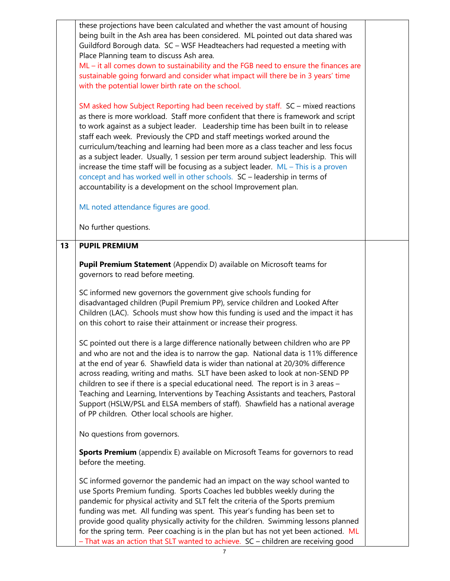these projections have been calculated and whether the vast amount of housing being built in the Ash area has been considered. ML pointed out data shared was Guildford Borough data. SC – WSF Headteachers had requested a meeting with Place Planning team to discuss Ash area.

ML – it all comes down to sustainability and the FGB need to ensure the finances are sustainable going forward and consider what impact will there be in 3 years' time with the potential lower birth rate on the school.

SM asked how Subject Reporting had been received by staff. SC – mixed reactions as there is more workload. Staff more confident that there is framework and script to work against as a subject leader. Leadership time has been built in to release staff each week. Previously the CPD and staff meetings worked around the curriculum/teaching and learning had been more as a class teacher and less focus as a subject leader. Usually, 1 session per term around subject leadership. This will increase the time staff will be focusing as a subject leader.  $ML - This$  is a proven concept and has worked well in other schools. SC – leadership in terms of accountability is a development on the school Improvement plan.

ML noted attendance figures are good.

No further questions.

### 13 PUPIL PREMIUM

**Pupil Premium Statement** (Appendix D) available on Microsoft teams for governors to read before meeting.

SC informed new governors the government give schools funding for disadvantaged children (Pupil Premium PP), service children and Looked After Children (LAC). Schools must show how this funding is used and the impact it has on this cohort to raise their attainment or increase their progress.

SC pointed out there is a large difference nationally between children who are PP and who are not and the idea is to narrow the gap. National data is 11% difference at the end of year 6. Shawfield data is wider than national at 20/30% difference across reading, writing and maths. SLT have been asked to look at non-SEND PP children to see if there is a special educational need. The report is in 3 areas – Teaching and Learning, Interventions by Teaching Assistants and teachers, Pastoral Support (HSLW/PSL and ELSA members of staff). Shawfield has a national average of PP children. Other local schools are higher.

No questions from governors.

Sports Premium (appendix E) available on Microsoft Teams for governors to read before the meeting.

SC informed governor the pandemic had an impact on the way school wanted to use Sports Premium funding. Sports Coaches led bubbles weekly during the pandemic for physical activity and SLT felt the criteria of the Sports premium funding was met. All funding was spent. This year's funding has been set to provide good quality physically activity for the children. Swimming lessons planned for the spring term. Peer coaching is in the plan but has not yet been actioned. ML – That was an action that SLT wanted to achieve. SC – children are receiving good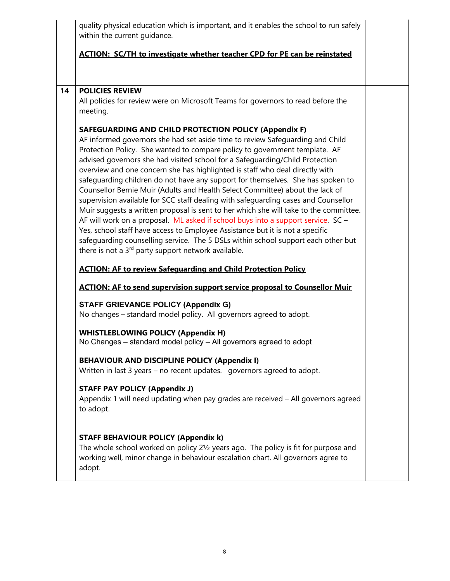quality physical education which is important, and it enables the school to run safely within the current guidance.

# ACTION: SC/TH to investigate whether teacher CPD for PE can be reinstated

## 14 POLICIES REVIEW

All policies for review were on Microsoft Teams for governors to read before the meeting.

# SAFEGUARDING AND CHILD PROTECTION POLICY (Appendix F)

AF informed governors she had set aside time to review Safeguarding and Child Protection Policy. She wanted to compare policy to government template. AF advised governors she had visited school for a Safeguarding/Child Protection overview and one concern she has highlighted is staff who deal directly with safeguarding children do not have any support for themselves. She has spoken to Counsellor Bernie Muir (Adults and Health Select Committee) about the lack of supervision available for SCC staff dealing with safeguarding cases and Counsellor Muir suggests a written proposal is sent to her which she will take to the committee. AF will work on a proposal. ML asked if school buys into a support service. SC – Yes, school staff have access to Employee Assistance but it is not a specific safeguarding counselling service. The 5 DSLs within school support each other but there is not a  $3<sup>rd</sup>$  party support network available.

# ACTION: AF to review Safeguarding and Child Protection Policy

## ACTION: AF to send supervision support service proposal to Counsellor Muir

### STAFF GRIEVANCE POLICY (Appendix G)

No changes – standard model policy. All governors agreed to adopt.

### WHISTLEBLOWING POLICY (Appendix H)

No Changes – standard model policy – All governors agreed to adopt

# BEHAVIOUR AND DISCIPLINE POLICY (Appendix I)

Written in last 3 years – no recent updates. governors agreed to adopt.

# STAFF PAY POLICY (Appendix J)

Appendix 1 will need updating when pay grades are received – All governors agreed to adopt.

### STAFF BEHAVIOUR POLICY (Appendix k)

The whole school worked on policy 2½ years ago. The policy is fit for purpose and working well, minor change in behaviour escalation chart. All governors agree to adopt.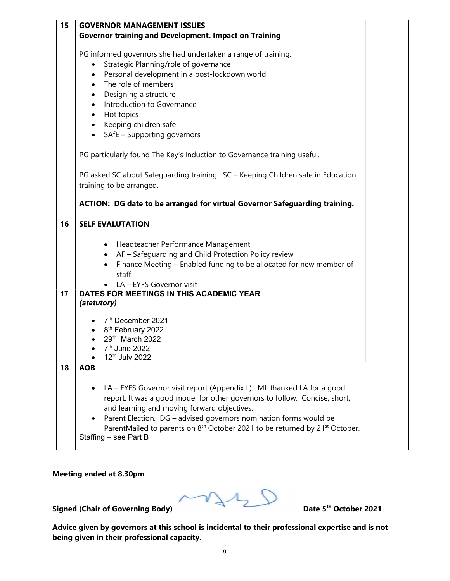| 15 | <b>GOVERNOR MANAGEMENT ISSUES</b>                                                                                                                                                                                                                                                                                                                                                                                                                                                               |  |
|----|-------------------------------------------------------------------------------------------------------------------------------------------------------------------------------------------------------------------------------------------------------------------------------------------------------------------------------------------------------------------------------------------------------------------------------------------------------------------------------------------------|--|
|    | <b>Governor training and Development. Impact on Training</b>                                                                                                                                                                                                                                                                                                                                                                                                                                    |  |
|    | PG informed governors she had undertaken a range of training.<br>Strategic Planning/role of governance<br>$\bullet$<br>Personal development in a post-lockdown world<br>$\bullet$<br>The role of members<br>$\bullet$<br>Designing a structure<br>$\bullet$<br>Introduction to Governance<br>$\bullet$<br>Hot topics<br>$\bullet$<br>Keeping children safe<br>$\bullet$<br>SAfE - Supporting governors<br>$\bullet$<br>PG particularly found The Key's Induction to Governance training useful. |  |
|    | PG asked SC about Safeguarding training. SC - Keeping Children safe in Education<br>training to be arranged.<br><b>ACTION: DG date to be arranged for virtual Governor Safequarding training.</b>                                                                                                                                                                                                                                                                                               |  |
| 16 | <b>SELF EVALUTATION</b>                                                                                                                                                                                                                                                                                                                                                                                                                                                                         |  |
|    | Headteacher Performance Management<br>AF - Safeguarding and Child Protection Policy review<br>$\bullet$<br>Finance Meeting - Enabled funding to be allocated for new member of<br>٠<br>staff<br>LA - EYFS Governor visit                                                                                                                                                                                                                                                                        |  |
| 17 | DATES FOR MEETINGS IN THIS ACADEMIC YEAR                                                                                                                                                                                                                                                                                                                                                                                                                                                        |  |
|    | (statutory)<br>7 <sup>th</sup> December 2021<br>8 <sup>th</sup> February 2022<br>29th March 2022<br>7 <sup>th</sup> June 2022<br>12 <sup>th</sup> July 2022                                                                                                                                                                                                                                                                                                                                     |  |
| 18 | <b>AOB</b>                                                                                                                                                                                                                                                                                                                                                                                                                                                                                      |  |
|    | LA - EYFS Governor visit report (Appendix L). ML thanked LA for a good<br>report. It was a good model for other governors to follow. Concise, short,<br>and learning and moving forward objectives.<br>Parent Election. DG - advised governors nomination forms would be<br>ParentMailed to parents on 8 <sup>th</sup> October 2021 to be returned by 21 <sup>st</sup> October.<br>Staffing - see Part B                                                                                        |  |

Meeting ended at 8.30pm

Signed (Chair of Governing Body) Date 5<sup>th</sup> October 2021

Advice given by governors at this school is incidental to their professional expertise and is not being given in their professional capacity.